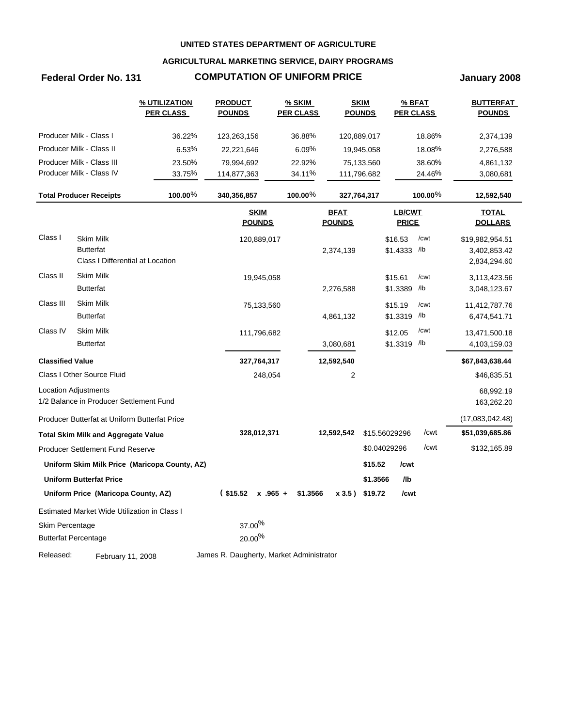## **AGRICULTURAL MARKETING SERVICE, DAIRY PROGRAMS**

# **Federal Order No. 131 COMPUTATION OF UNIFORM PRICE January 2008**

|                         |                                                                          | % UTILIZATION<br><b>PER CLASS</b>             | <b>PRODUCT</b><br><b>POUNDS</b>          | $%$ SKIM<br><b>PER CLASS</b> |                              | <b>SKIM</b><br><b>POUNDS</b> | <b>PER CLASS</b>         | $%$ BFAT   | <b>BUTTERFAT</b><br><b>POUNDS</b>               |
|-------------------------|--------------------------------------------------------------------------|-----------------------------------------------|------------------------------------------|------------------------------|------------------------------|------------------------------|--------------------------|------------|-------------------------------------------------|
|                         | Producer Milk - Class I                                                  | 36.22%                                        | 123,263,156                              | 36.88%                       | 120,889,017                  |                              |                          | 18.86%     | 2,374,139                                       |
|                         | Producer Milk - Class II                                                 | 6.53%                                         | 22,221,646                               | 6.09%                        |                              | 19,945,058                   |                          | 18.08%     | 2,276,588                                       |
|                         | Producer Milk - Class III                                                | 23.50%                                        | 79,994,692                               | 22.92%                       |                              | 75,133,560                   |                          | 38.60%     | 4,861,132                                       |
|                         | Producer Milk - Class IV                                                 | 33.75%                                        | 114,877,363                              | 34.11%                       | 111,796,682                  |                              |                          | 24.46%     | 3,080,681                                       |
|                         | <b>Total Producer Receipts</b>                                           | 100.00%                                       | 340,356,857                              | $100.00\%$                   | 327,764,317                  |                              |                          | $100.00\%$ | 12,592,540                                      |
|                         |                                                                          |                                               | <b>SKIM</b><br><b>POUNDS</b>             |                              | <b>BFAT</b><br><b>POUNDS</b> |                              | LB/CWT<br><b>PRICE</b>   |            | <b>TOTAL</b><br><b>DOLLARS</b>                  |
| Class I                 | <b>Skim Milk</b><br><b>Butterfat</b><br>Class I Differential at Location |                                               | 120,889,017                              |                              | 2,374,139                    |                              | \$16.53<br>$$1.4333$ /lb | /cwt       | \$19,982,954.51<br>3,402,853.42<br>2,834,294.60 |
| Class II                | <b>Skim Milk</b><br><b>Butterfat</b>                                     |                                               | 19,945,058                               |                              | 2,276,588                    |                              | \$15.61<br>\$1.3389 /lb  | /cwt       | 3,113,423.56<br>3,048,123.67                    |
| Class III               | Skim Milk<br><b>Butterfat</b>                                            |                                               | 75,133,560                               |                              | 4,861,132                    |                              | \$15.19<br>\$1.3319 /lb  | /cwt       | 11,412,787.76<br>6,474,541.71                   |
| Class IV                | Skim Milk<br><b>Butterfat</b>                                            |                                               | 111,796,682                              |                              | 3,080,681                    |                              | \$12.05<br>\$1.3319 /lb  | /cwt       | 13,471,500.18<br>4,103,159.03                   |
| <b>Classified Value</b> |                                                                          |                                               | 327,764,317                              |                              | 12,592,540                   |                              |                          |            | \$67,843,638.44                                 |
|                         | Class I Other Source Fluid                                               |                                               | 248,054                                  |                              | 2                            |                              |                          |            | \$46,835.51                                     |
|                         | <b>Location Adjustments</b><br>1/2 Balance in Producer Settlement Fund   |                                               |                                          |                              |                              |                              |                          |            | 68,992.19<br>163,262.20                         |
|                         | Producer Butterfat at Uniform Butterfat Price                            |                                               |                                          |                              |                              |                              |                          |            | (17,083,042.48)                                 |
|                         | <b>Total Skim Milk and Aggregate Value</b>                               |                                               | 328,012,371                              |                              | 12,592,542                   | \$15.56029296                |                          | /cwt       | \$51,039,685.86                                 |
|                         | <b>Producer Settlement Fund Reserve</b>                                  |                                               |                                          |                              |                              | \$0.04029296                 |                          | /cwt       | \$132,165.89                                    |
|                         |                                                                          | Uniform Skim Milk Price (Maricopa County, AZ) |                                          |                              |                              | \$15.52                      | /cwt                     |            |                                                 |
|                         | <b>Uniform Butterfat Price</b>                                           |                                               |                                          |                              |                              | \$1.3566                     | /lb                      |            |                                                 |
|                         | Uniform Price (Maricopa County, AZ)                                      |                                               | $($15.52 \times .965 +$                  | \$1.3566                     |                              | x 3.5) \$19.72               | /cwt                     |            |                                                 |
|                         | Estimated Market Wide Utilization in Class I                             |                                               |                                          |                              |                              |                              |                          |            |                                                 |
| Skim Percentage         |                                                                          |                                               | 37.00%                                   |                              |                              |                              |                          |            |                                                 |
|                         | <b>Butterfat Percentage</b>                                              |                                               | $20.00\%$                                |                              |                              |                              |                          |            |                                                 |
| Released:               | February 11, 2008                                                        |                                               | James R. Daugherty, Market Administrator |                              |                              |                              |                          |            |                                                 |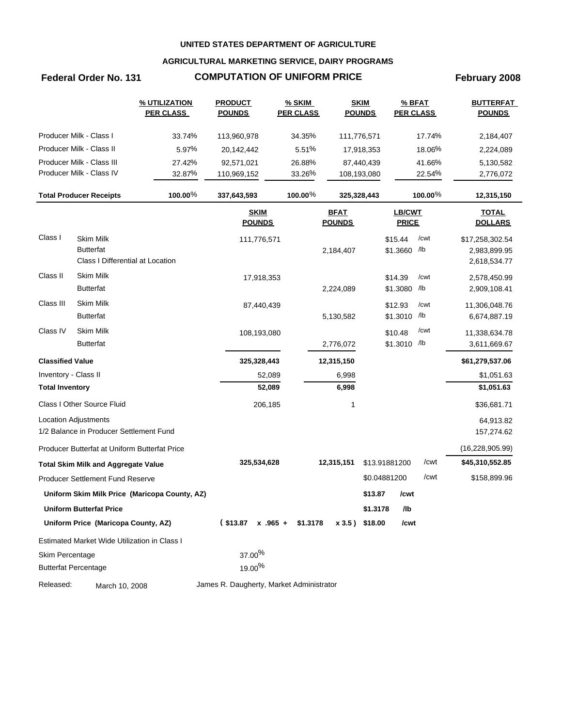## **AGRICULTURAL MARKETING SERVICE, DAIRY PROGRAMS**

# **Federal Order No. 131 COMPUTATION OF UNIFORM PRICE February 2008**

|                         |                                                                          | % UTILIZATION<br><b>PER CLASS</b>             | <b>PRODUCT</b><br><b>POUNDS</b>          | % SKIM<br><b>PER CLASS</b> |                              | <b>SKIM</b><br><b>POUNDS</b> | % BFAT<br><b>PER CLASS</b>    |                  | <b>BUTTERFAT</b><br><b>POUNDS</b>               |
|-------------------------|--------------------------------------------------------------------------|-----------------------------------------------|------------------------------------------|----------------------------|------------------------------|------------------------------|-------------------------------|------------------|-------------------------------------------------|
|                         | Producer Milk - Class I                                                  | 33.74%                                        | 113,960,978                              | 34.35%                     |                              | 111,776,571                  |                               | 17.74%           | 2,184,407                                       |
|                         | Producer Milk - Class II                                                 | 5.97%                                         | 20,142,442                               | 5.51%                      |                              | 17,918,353                   |                               | 18.06%           | 2,224,089                                       |
|                         | Producer Milk - Class III<br>Producer Milk - Class IV                    | 27.42%<br>32.87%                              | 92,571,021<br>110,969,152                | 26.88%<br>33.26%           |                              | 87,440,439<br>108,193,080    |                               | 41.66%<br>22.54% | 5,130,582<br>2,776,072                          |
|                         | <b>Total Producer Receipts</b>                                           | 100.00%                                       | 337,643,593                              | $100.00\%$                 |                              | 325,328,443                  |                               | 100.00 $%$       | 12,315,150                                      |
|                         |                                                                          |                                               | <b>SKIM</b><br><b>POUNDS</b>             |                            | <b>BFAT</b><br><b>POUNDS</b> |                              | <b>LB/CWT</b><br><b>PRICE</b> |                  | <b>TOTAL</b><br><b>DOLLARS</b>                  |
| Class I                 | <b>Skim Milk</b><br><b>Butterfat</b><br>Class I Differential at Location |                                               | 111,776,571                              |                            | 2,184,407                    |                              | \$15.44<br>\$1.3660 /b        | /cwt             | \$17,258,302.54<br>2,983,899.95<br>2,618,534.77 |
| Class II                | <b>Skim Milk</b><br><b>Butterfat</b>                                     |                                               | 17,918,353                               |                            | 2,224,089                    |                              | \$14.39<br>\$1.3080 /b        | /cwt             | 2,578,450.99<br>2,909,108.41                    |
| Class III               | Skim Milk<br><b>Butterfat</b>                                            |                                               | 87,440,439                               |                            | 5,130,582                    |                              | \$12.93<br>\$1.3010 /lb       | /cwt             | 11,306,048.76<br>6,674,887.19                   |
| Class IV                | Skim Milk<br><b>Butterfat</b>                                            |                                               | 108,193,080                              |                            | 2,776,072                    |                              | \$10.48<br>\$1.3010 /lb       | /cwt             | 11,338,634.78<br>3,611,669.67                   |
| <b>Classified Value</b> |                                                                          |                                               | 325,328,443                              |                            | 12,315,150                   |                              |                               |                  | \$61,279,537.06                                 |
| Inventory - Class II    |                                                                          |                                               | 52,089                                   |                            | 6,998                        |                              |                               |                  | \$1,051.63                                      |
| <b>Total Inventory</b>  |                                                                          |                                               | 52,089                                   |                            | 6,998                        |                              |                               |                  | \$1,051.63                                      |
|                         | Class I Other Source Fluid                                               |                                               | 206,185                                  |                            | 1                            |                              |                               |                  | \$36,681.71                                     |
|                         | <b>Location Adjustments</b><br>1/2 Balance in Producer Settlement Fund   |                                               |                                          |                            |                              |                              |                               |                  | 64,913.82<br>157,274.62                         |
|                         | Producer Butterfat at Uniform Butterfat Price                            |                                               |                                          |                            |                              |                              |                               |                  | (16, 228, 905.99)                               |
|                         | <b>Total Skim Milk and Aggregate Value</b>                               |                                               | 325,534,628                              |                            | 12,315,151                   |                              | \$13.91881200                 | /cwt             | \$45,310,552.85                                 |
|                         | <b>Producer Settlement Fund Reserve</b>                                  |                                               |                                          |                            |                              |                              | \$0.04881200                  | /cwt             | \$158,899.96                                    |
|                         |                                                                          | Uniform Skim Milk Price (Maricopa County, AZ) |                                          |                            |                              | \$13.87                      | /cwt                          |                  |                                                 |
|                         | <b>Uniform Butterfat Price</b>                                           |                                               |                                          |                            |                              | \$1.3178                     | /lb                           |                  |                                                 |
|                         | Uniform Price (Maricopa County, AZ)                                      |                                               | $$13.87$ x .965 + \$1.3178               |                            | x 3.5) \$18.00               |                              | /cwt                          |                  |                                                 |
|                         | Estimated Market Wide Utilization in Class I                             |                                               |                                          |                            |                              |                              |                               |                  |                                                 |
| Skim Percentage         |                                                                          |                                               | 37.00%                                   |                            |                              |                              |                               |                  |                                                 |
|                         | <b>Butterfat Percentage</b>                                              |                                               | $19.00\%$                                |                            |                              |                              |                               |                  |                                                 |
| Released:               | March 10, 2008                                                           |                                               | James R. Daugherty, Market Administrator |                            |                              |                              |                               |                  |                                                 |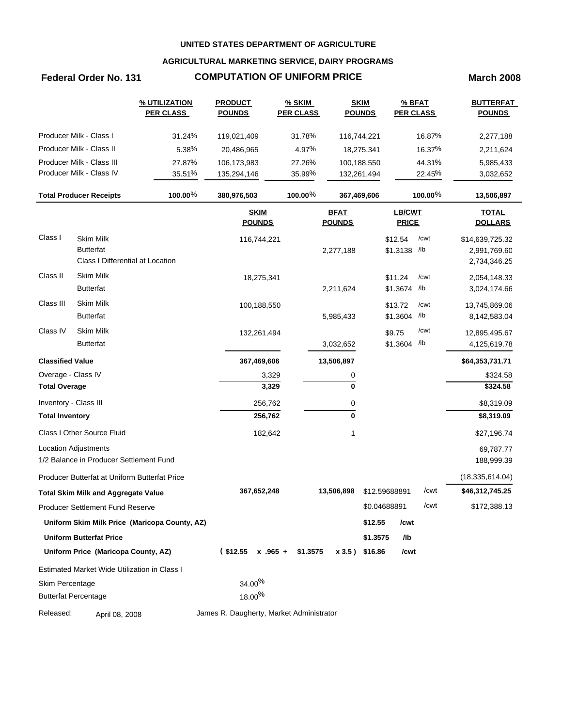## **AGRICULTURAL MARKETING SERVICE, DAIRY PROGRAMS**

## **Federal Order No. 131 COMPUTATION OF UNIFORM PRICE March 2008**

|                         |                                               | <b>% UTILIZATION</b><br><b>PER CLASS</b>      | <b>PRODUCT</b><br><b>POUNDS</b>          | % SKIM<br><b>PER CLASS</b> | <b>SKIM</b><br><b>POUNDS</b> |            | % BFAT<br><b>PER CLASS</b> |            | <b>BUTTERFAT</b><br><b>POUNDS</b> |
|-------------------------|-----------------------------------------------|-----------------------------------------------|------------------------------------------|----------------------------|------------------------------|------------|----------------------------|------------|-----------------------------------|
|                         | Producer Milk - Class I                       | 31.24%                                        | 119,021,409                              | 31.78%                     | 116,744,221                  |            |                            | 16.87%     | 2,277,188                         |
|                         | Producer Milk - Class II                      | 5.38%                                         | 20,486,965                               | 4.97%                      |                              | 18,275,341 |                            | 16.37%     | 2,211,624                         |
|                         | Producer Milk - Class III                     | 27.87%                                        | 106,173,983                              | 27.26%                     | 100,188,550                  |            |                            | 44.31%     | 5,985,433                         |
|                         | Producer Milk - Class IV                      | 35.51%                                        | 135,294,146                              | 35.99%                     | 132,261,494                  |            |                            | 22.45%     | 3,032,652                         |
|                         | <b>Total Producer Receipts</b>                | 100.00%                                       | 380,976,503                              | $100.00\%$                 | 367,469,606                  |            |                            | 100.00 $%$ | 13,506,897                        |
|                         |                                               |                                               | <b>SKIM</b><br><b>POUNDS</b>             |                            | <b>BFAT</b><br><b>POUNDS</b> |            | LB/CWT<br><b>PRICE</b>     |            | <b>TOTAL</b><br><b>DOLLARS</b>    |
| Class I                 | <b>Skim Milk</b>                              |                                               | 116,744,221                              |                            |                              |            | \$12.54                    | /cwt       | \$14,639,725.32                   |
|                         | <b>Butterfat</b>                              |                                               |                                          |                            | 2,277,188                    |            | \$1.3138 /lb               |            | 2,991,769.60                      |
|                         | Class I Differential at Location              |                                               |                                          |                            |                              |            |                            |            | 2,734,346.25                      |
| Class II                | Skim Milk                                     |                                               | 18,275,341                               |                            |                              |            | \$11.24                    | /cwt       | 2,054,148.33                      |
|                         | <b>Butterfat</b>                              |                                               |                                          |                            | 2,211,624                    |            | \$1.3674 /lb               |            | 3,024,174.66                      |
| Class III               | Skim Milk                                     |                                               | 100,188,550                              |                            |                              |            | \$13.72                    | /cwt       | 13,745,869.06                     |
|                         | <b>Butterfat</b>                              |                                               |                                          |                            | 5,985,433                    |            | \$1.3604 /b                |            | 8,142,583.04                      |
| Class IV                | <b>Skim Milk</b>                              |                                               | 132,261,494                              |                            |                              |            | \$9.75                     | /cwt       | 12,895,495.67                     |
|                         | <b>Butterfat</b>                              |                                               |                                          |                            | 3,032,652                    |            | \$1.3604 /lb               |            | 4,125,619.78                      |
| <b>Classified Value</b> |                                               |                                               | 367,469,606                              |                            | 13,506,897                   |            |                            |            | \$64,353,731.71                   |
| Overage - Class IV      |                                               |                                               | 3,329                                    |                            | 0                            |            |                            |            | \$324.58                          |
| <b>Total Overage</b>    |                                               |                                               | 3,329                                    |                            | 0                            |            |                            |            | \$324.58                          |
| Inventory - Class III   |                                               |                                               | 256,762                                  |                            | 0                            |            |                            |            | \$8,319.09                        |
| <b>Total Inventory</b>  |                                               |                                               | 256,762                                  |                            | 0                            |            |                            |            | \$8,319.09                        |
|                         | Class I Other Source Fluid                    |                                               | 182,642                                  |                            | 1                            |            |                            |            | \$27,196.74                       |
|                         | Location Adjustments                          |                                               |                                          |                            |                              |            |                            |            | 69,787.77                         |
|                         | 1/2 Balance in Producer Settlement Fund       |                                               |                                          |                            |                              |            |                            |            | 188,999.39                        |
|                         | Producer Butterfat at Uniform Butterfat Price |                                               |                                          |                            |                              |            |                            |            | (18, 335, 614.04)                 |
|                         | <b>Total Skim Milk and Aggregate Value</b>    |                                               | 367,652,248                              |                            | 13,506,898                   |            | \$12.59688891              | /cwt       | \$46,312,745.25                   |
|                         | Producer Settlement Fund Reserve              |                                               |                                          |                            |                              |            | \$0.04688891               | /cwt       | \$172,388.13                      |
|                         |                                               | Uniform Skim Milk Price (Maricopa County, AZ) |                                          |                            |                              | \$12.55    | /cwt                       |            |                                   |
|                         | <b>Uniform Butterfat Price</b>                |                                               |                                          |                            |                              | \$1.3575   | /lb                        |            |                                   |
|                         | Uniform Price (Maricopa County, AZ)           |                                               | $$12.55 \times .965 + $1.3575$           |                            | x 3.5) \$16.86               |            | /cwt                       |            |                                   |
|                         | Estimated Market Wide Utilization in Class I  |                                               |                                          |                            |                              |            |                            |            |                                   |
| Skim Percentage         |                                               |                                               | $34.00\%$                                |                            |                              |            |                            |            |                                   |
|                         | <b>Butterfat Percentage</b>                   |                                               | $18.00\%$                                |                            |                              |            |                            |            |                                   |
| Released:               | April 08, 2008                                |                                               | James R. Daugherty, Market Administrator |                            |                              |            |                            |            |                                   |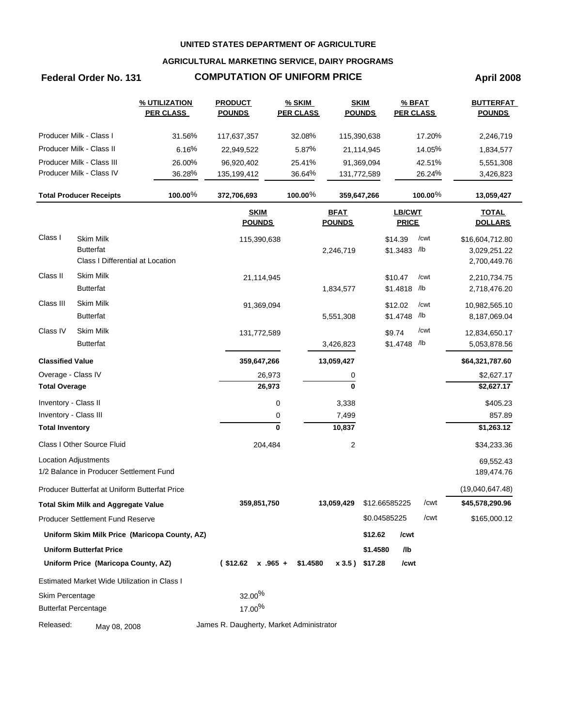## **AGRICULTURAL MARKETING SERVICE, DAIRY PROGRAMS**

# **Federal Order No. 131 COMPUTATION OF UNIFORM PRICE April 2008**

|                         |                                               | % UTILIZATION<br><b>PER CLASS</b>             | <b>PRODUCT</b><br><b>POUNDS</b>          | <b>% SKIM</b><br><b>PER CLASS</b> | <b>SKIM</b><br><b>POUNDS</b> |                        | $%$ BFAT<br><b>PER CLASS</b> | <b>BUTTERFAT</b><br><b>POUNDS</b> |
|-------------------------|-----------------------------------------------|-----------------------------------------------|------------------------------------------|-----------------------------------|------------------------------|------------------------|------------------------------|-----------------------------------|
|                         | Producer Milk - Class I                       | 31.56%                                        | 117,637,357                              | 32.08%                            | 115,390,638                  |                        | 17.20%                       | 2,246,719                         |
|                         | Producer Milk - Class II                      | 6.16%                                         | 22,949,522                               | 5.87%                             | 21,114,945                   |                        | 14.05%                       | 1,834,577                         |
|                         | Producer Milk - Class III                     | 26.00%                                        | 96,920,402                               | 25.41%                            | 91,369,094                   |                        | 42.51%                       | 5,551,308                         |
|                         | Producer Milk - Class IV                      | 36.28%                                        | 135,199,412                              | 36.64%                            | 131,772,589                  |                        | 26.24%                       | 3,426,823                         |
|                         | <b>Total Producer Receipts</b>                | 100.00%                                       | 372,706,693                              | 100.00%                           | 359,647,266                  |                        | 100.00%                      | 13,059,427                        |
|                         |                                               |                                               | <b>SKIM</b><br><b>POUNDS</b>             |                                   | <b>BFAT</b><br><b>POUNDS</b> | LB/CWT<br><b>PRICE</b> |                              | <b>TOTAL</b><br><b>DOLLARS</b>    |
| Class I                 | Skim Milk                                     |                                               | 115,390,638                              |                                   |                              | \$14.39                | /cwt                         | \$16,604,712.80                   |
|                         | <b>Butterfat</b>                              |                                               |                                          |                                   | 2,246,719                    | \$1.3483 /lb           |                              | 3,029,251.22                      |
|                         | Class I Differential at Location              |                                               |                                          |                                   |                              |                        |                              | 2,700,449.76                      |
| Class II                | Skim Milk                                     |                                               | 21,114,945                               |                                   |                              | \$10.47                | /cwt                         | 2,210,734.75                      |
|                         | <b>Butterfat</b>                              |                                               |                                          |                                   | 1,834,577                    | \$1.4818               | /lb                          | 2,718,476.20                      |
| Class III               | Skim Milk                                     |                                               | 91,369,094                               |                                   |                              | \$12.02                | /cwt                         | 10,982,565.10                     |
|                         | <b>Butterfat</b>                              |                                               |                                          |                                   | 5,551,308                    | \$1.4748 /lb           |                              | 8,187,069.04                      |
| Class IV                | <b>Skim Milk</b>                              |                                               | 131,772,589                              |                                   |                              | \$9.74                 | /cwt                         | 12,834,650.17                     |
|                         | <b>Butterfat</b>                              |                                               |                                          |                                   | 3,426,823                    | \$1.4748 /lb           |                              | 5,053,878.56                      |
| <b>Classified Value</b> |                                               |                                               | 359,647,266                              |                                   | 13,059,427                   |                        |                              | \$64,321,787.60                   |
| Overage - Class IV      |                                               |                                               | 26,973                                   |                                   | 0                            |                        |                              | \$2,627.17                        |
| <b>Total Overage</b>    |                                               |                                               | 26,973                                   |                                   | 0                            |                        |                              | \$2,627.17                        |
| Inventory - Class II    |                                               |                                               |                                          | 0                                 | 3,338                        |                        |                              | \$405.23                          |
| Inventory - Class III   |                                               |                                               |                                          | 0                                 | 7,499                        |                        |                              | 857.89                            |
| <b>Total Inventory</b>  |                                               |                                               |                                          | 0                                 | 10,837                       |                        |                              | \$1,263.12                        |
|                         | Class I Other Source Fluid                    |                                               | 204,484                                  |                                   | $\overline{c}$               |                        |                              | \$34,233.36                       |
|                         | Location Adjustments                          |                                               |                                          |                                   |                              |                        |                              | 69,552.43                         |
|                         | 1/2 Balance in Producer Settlement Fund       |                                               |                                          |                                   |                              |                        |                              | 189,474.76                        |
|                         | Producer Butterfat at Uniform Butterfat Price |                                               |                                          |                                   |                              |                        |                              | (19,040,647.48)                   |
|                         | Total Skim Milk and Aggregate Value           |                                               | 359,851,750                              |                                   | 13,059,429                   | \$12.66585225          | /cwt                         | \$45,578,290.96                   |
|                         | <b>Producer Settlement Fund Reserve</b>       |                                               |                                          |                                   |                              | \$0.04585225           | /cwt                         | \$165,000.12                      |
|                         |                                               | Uniform Skim Milk Price (Maricopa County, AZ) |                                          |                                   |                              | /cwt<br>\$12.62        |                              |                                   |
|                         | <b>Uniform Butterfat Price</b>                |                                               |                                          |                                   |                              | \$1.4580<br>/lb        |                              |                                   |
|                         | Uniform Price (Maricopa County, AZ)           |                                               | $($12.62 \times .965 +$                  | \$1.4580                          | x 3.5) \$17.28               | /cwt                   |                              |                                   |
|                         | Estimated Market Wide Utilization in Class I  |                                               |                                          |                                   |                              |                        |                              |                                   |
| Skim Percentage         |                                               |                                               | $32.00\%$                                |                                   |                              |                        |                              |                                   |
|                         | <b>Butterfat Percentage</b>                   |                                               | $17.00\%$                                |                                   |                              |                        |                              |                                   |
| Released:               | May 08, 2008                                  |                                               | James R. Daugherty, Market Administrator |                                   |                              |                        |                              |                                   |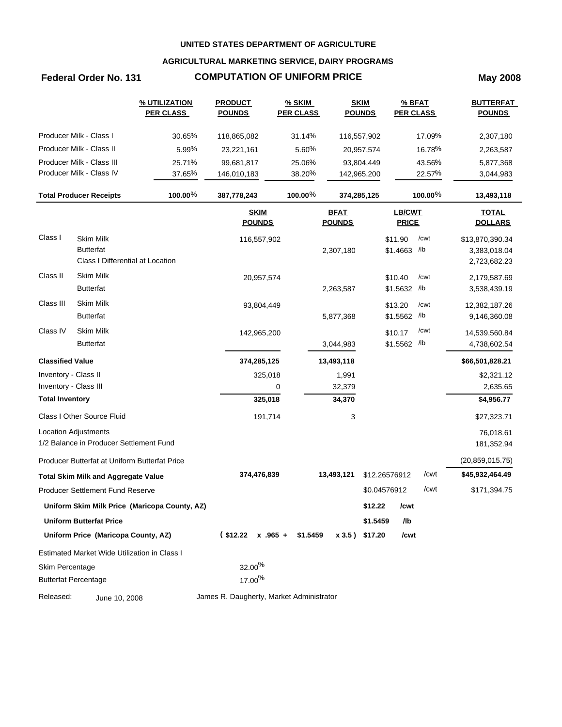## **AGRICULTURAL MARKETING SERVICE, DAIRY PROGRAMS**

# **Federal Order No. 131 COMPUTATION OF UNIFORM PRICE May 2008**

|                         |                                                                          | % UTILIZATION<br><b>PER CLASS</b>             | <b>PRODUCT</b><br><b>POUNDS</b>          | % SKIM<br><b>PER CLASS</b> |                              | <b>SKIM</b><br><b>POUNDS</b> | % BFAT<br><b>PER CLASS</b>    |            | <b>BUTTERFAT</b><br><b>POUNDS</b>               |
|-------------------------|--------------------------------------------------------------------------|-----------------------------------------------|------------------------------------------|----------------------------|------------------------------|------------------------------|-------------------------------|------------|-------------------------------------------------|
|                         | Producer Milk - Class I                                                  | 30.65%                                        | 118,865,082                              | 31.14%                     |                              | 116,557,902                  |                               | 17.09%     | 2,307,180                                       |
|                         | Producer Milk - Class II                                                 | 5.99%                                         | 23,221,161                               | 5.60%                      |                              | 20,957,574                   |                               | 16.78%     | 2,263,587                                       |
|                         | Producer Milk - Class III                                                | 25.71%                                        | 99,681,817                               | 25.06%                     |                              | 93,804,449                   |                               | 43.56%     | 5,877,368                                       |
|                         | Producer Milk - Class IV                                                 | 37.65%                                        | 146,010,183                              | 38.20%                     |                              | 142,965,200                  |                               | 22.57%     | 3,044,983                                       |
|                         | <b>Total Producer Receipts</b>                                           | 100.00%                                       | 387,778,243                              | 100.00%                    |                              | 374,285,125                  |                               | 100.00 $%$ | 13,493,118                                      |
|                         |                                                                          |                                               | <b>SKIM</b><br><b>POUNDS</b>             |                            | <b>BFAT</b><br><b>POUNDS</b> |                              | <b>LB/CWT</b><br><b>PRICE</b> |            | <b>TOTAL</b><br><b>DOLLARS</b>                  |
| Class I                 | <b>Skim Milk</b><br><b>Butterfat</b><br>Class I Differential at Location |                                               | 116,557,902                              |                            | 2,307,180                    |                              | \$11.90<br>$$1.4663$ /lb      | /cwt       | \$13,870,390.34<br>3,383,018.04<br>2,723,682.23 |
| Class II                | <b>Skim Milk</b><br><b>Butterfat</b>                                     |                                               | 20,957,574                               |                            | 2,263,587                    |                              | \$10.40<br>\$1.5632 /lb       | /cwt       | 2,179,587.69<br>3,538,439.19                    |
| Class III               | <b>Skim Milk</b><br><b>Butterfat</b>                                     |                                               | 93,804,449                               |                            | 5,877,368                    |                              | \$13.20<br>\$1.5562 /lb       | /cwt       | 12,382,187.26<br>9,146,360.08                   |
| Class IV                | Skim Milk<br><b>Butterfat</b>                                            |                                               | 142,965,200                              |                            | 3,044,983                    |                              | \$10.17<br>\$1.5562 /lb       | /cwt       | 14,539,560.84<br>4,738,602.54                   |
| <b>Classified Value</b> |                                                                          |                                               | 374,285,125                              |                            | 13,493,118                   |                              |                               |            | \$66,501,828.21                                 |
| Inventory - Class II    |                                                                          |                                               | 325,018                                  |                            | 1,991                        |                              |                               |            | \$2,321.12                                      |
| Inventory - Class III   |                                                                          |                                               |                                          | 0                          | 32,379                       |                              |                               |            | 2,635.65                                        |
| <b>Total Inventory</b>  |                                                                          |                                               | 325,018                                  |                            | 34,370                       |                              |                               |            | \$4,956.77                                      |
|                         | Class I Other Source Fluid                                               |                                               | 191,714                                  |                            | 3                            |                              |                               |            | \$27,323.71                                     |
|                         | Location Adjustments<br>1/2 Balance in Producer Settlement Fund          |                                               |                                          |                            |                              |                              |                               |            | 76,018.61<br>181,352.94                         |
|                         | Producer Butterfat at Uniform Butterfat Price                            |                                               |                                          |                            |                              |                              |                               |            | (20, 859, 015.75)                               |
|                         | <b>Total Skim Milk and Aggregate Value</b>                               |                                               | 374,476,839                              |                            | 13,493,121                   |                              | \$12.26576912                 | /cwt       | \$45,932,464.49                                 |
|                         | <b>Producer Settlement Fund Reserve</b>                                  |                                               |                                          |                            |                              |                              | \$0.04576912                  | /cwt       | \$171,394.75                                    |
|                         |                                                                          | Uniform Skim Milk Price (Maricopa County, AZ) |                                          |                            |                              | \$12.22                      | /cwt                          |            |                                                 |
|                         | <b>Uniform Butterfat Price</b>                                           |                                               |                                          |                            |                              | \$1.5459                     | /lb                           |            |                                                 |
|                         | Uniform Price (Maricopa County, AZ)                                      |                                               | $($12.22 \times .965 +$                  | \$1.5459                   |                              | x 3.5) \$17.20               | /cwt                          |            |                                                 |
|                         | Estimated Market Wide Utilization in Class I                             |                                               |                                          |                            |                              |                              |                               |            |                                                 |
| Skim Percentage         |                                                                          |                                               | $32.00\%$                                |                            |                              |                              |                               |            |                                                 |
|                         | <b>Butterfat Percentage</b>                                              |                                               | 17.00%                                   |                            |                              |                              |                               |            |                                                 |
| Released:               | June 10, 2008                                                            |                                               | James R. Daugherty, Market Administrator |                            |                              |                              |                               |            |                                                 |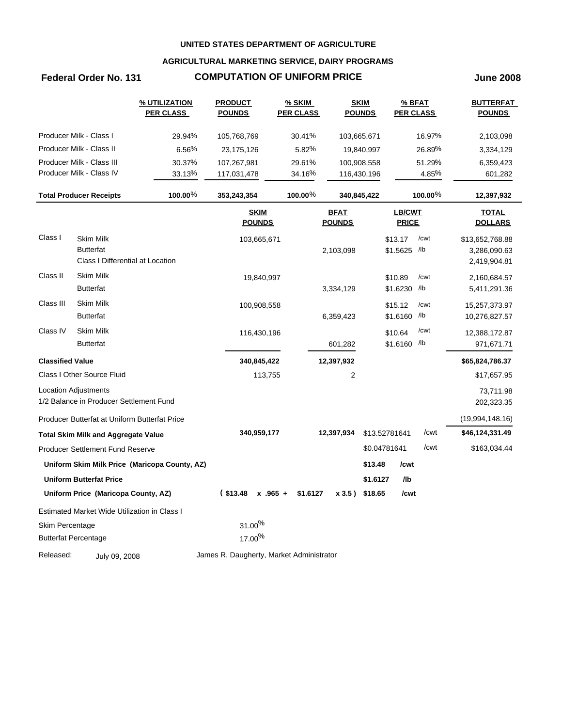## **AGRICULTURAL MARKETING SERVICE, DAIRY PROGRAMS**

## **Federal Order No. 131 COMPUTATION OF UNIFORM PRICE June 2008**

|                         |                                               | <u>% UTILIZATION</u><br><b>PER CLASS</b>      | <b>PRODUCT</b><br><b>POUNDS</b>          | <b>% SKIM</b><br><b>PER CLASS</b> |                              | <b>SKIM</b><br><b>POUNDS</b> |                               | $%$ BFAT<br><b>PER CLASS</b> | <b>BUTTERFAT</b><br><b>POUNDS</b> |
|-------------------------|-----------------------------------------------|-----------------------------------------------|------------------------------------------|-----------------------------------|------------------------------|------------------------------|-------------------------------|------------------------------|-----------------------------------|
|                         | Producer Milk - Class I                       | 29.94%                                        | 105,768,769                              | 30.41%                            |                              | 103,665,671                  |                               | 16.97%                       | 2,103,098                         |
|                         | Producer Milk - Class II                      | 6.56%                                         | 23,175,126                               | 5.82%                             |                              | 19,840,997                   |                               | 26.89%                       | 3,334,129                         |
|                         | Producer Milk - Class III                     | 30.37%                                        | 107,267,981                              | 29.61%                            |                              | 100,908,558                  |                               | 51.29%                       | 6,359,423                         |
|                         | Producer Milk - Class IV                      | 33.13%                                        | 117,031,478                              | 34.16%                            |                              | 116,430,196                  |                               | 4.85%                        | 601,282                           |
|                         | <b>Total Producer Receipts</b>                | 100.00 $%$                                    | 353,243,354                              | $100.00\%$                        |                              | 340,845,422                  |                               | $100.00\%$                   | 12,397,932                        |
|                         |                                               |                                               | <b>SKIM</b><br><b>POUNDS</b>             |                                   | <b>BFAT</b><br><b>POUNDS</b> |                              | <b>LB/CWT</b><br><b>PRICE</b> |                              | <b>TOTAL</b><br><b>DOLLARS</b>    |
| Class I                 | Skim Milk                                     |                                               | 103,665,671                              |                                   |                              |                              | \$13.17                       | /cwt                         | \$13,652,768.88                   |
|                         | <b>Butterfat</b>                              |                                               |                                          |                                   | 2,103,098                    |                              | \$1.5625                      | /lb                          | 3,286,090.63                      |
|                         | Class I Differential at Location              |                                               |                                          |                                   |                              |                              |                               |                              | 2,419,904.81                      |
| Class II                | <b>Skim Milk</b>                              |                                               | 19,840,997                               |                                   |                              |                              | \$10.89                       | /cwt                         | 2,160,684.57                      |
|                         | <b>Butterfat</b>                              |                                               |                                          |                                   | 3,334,129                    |                              | \$1.6230 /b                   |                              | 5,411,291.36                      |
| Class III               | <b>Skim Milk</b>                              |                                               | 100,908,558                              |                                   |                              |                              | \$15.12                       | /cwt                         | 15,257,373.97                     |
|                         | <b>Butterfat</b>                              |                                               |                                          |                                   | 6,359,423                    |                              | \$1.6160 /b                   |                              | 10,276,827.57                     |
| Class IV                | <b>Skim Milk</b>                              |                                               | 116,430,196                              |                                   |                              |                              | \$10.64                       | /cwt                         | 12,388,172.87                     |
|                         | <b>Butterfat</b>                              |                                               |                                          |                                   | 601,282                      |                              | \$1.6160 /b                   |                              | 971,671.71                        |
| <b>Classified Value</b> |                                               |                                               | 340,845,422                              |                                   | 12,397,932                   |                              |                               |                              | \$65,824,786.37                   |
|                         | Class I Other Source Fluid                    |                                               | 113,755                                  |                                   | $\overline{c}$               |                              |                               |                              | \$17,657.95                       |
|                         | <b>Location Adjustments</b>                   |                                               |                                          |                                   |                              |                              |                               |                              | 73,711.98                         |
|                         | 1/2 Balance in Producer Settlement Fund       |                                               |                                          |                                   |                              |                              |                               |                              | 202,323.35                        |
|                         | Producer Butterfat at Uniform Butterfat Price |                                               |                                          |                                   |                              |                              |                               |                              | (19,994,148.16)                   |
|                         | <b>Total Skim Milk and Aggregate Value</b>    |                                               | 340,959,177                              |                                   | 12,397,934                   | \$13.52781641                |                               | /cwt                         | \$46,124,331.49                   |
|                         | <b>Producer Settlement Fund Reserve</b>       |                                               |                                          |                                   |                              | \$0.04781641                 |                               | /cwt                         | \$163,034.44                      |
|                         |                                               | Uniform Skim Milk Price (Maricopa County, AZ) |                                          |                                   |                              | \$13.48                      | /cwt                          |                              |                                   |
|                         | <b>Uniform Butterfat Price</b>                |                                               |                                          |                                   |                              | \$1.6127                     | /lb                           |                              |                                   |
|                         | Uniform Price (Maricopa County, AZ)           |                                               | $($13.48 \times .965 +$                  | \$1.6127                          |                              | x 3.5) \$18.65               | /cwt                          |                              |                                   |
|                         | Estimated Market Wide Utilization in Class I  |                                               |                                          |                                   |                              |                              |                               |                              |                                   |
| Skim Percentage         |                                               |                                               | $31.00\%$                                |                                   |                              |                              |                               |                              |                                   |
|                         | <b>Butterfat Percentage</b>                   |                                               | $17.00\%$                                |                                   |                              |                              |                               |                              |                                   |
| Released:               | July 09, 2008                                 |                                               | James R. Daugherty, Market Administrator |                                   |                              |                              |                               |                              |                                   |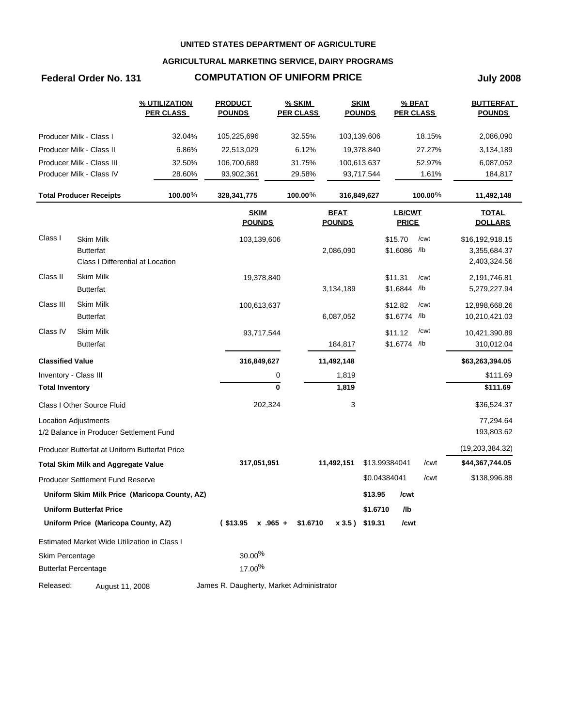## **AGRICULTURAL MARKETING SERVICE, DAIRY PROGRAMS**

# **Federal Order No. 131 COMPUTATION OF UNIFORM PRICE July 2008**

|                         |                                                      | % UTILIZATION<br><b>PER CLASS</b>             | <b>PRODUCT</b><br><b>POUNDS</b>          | % SKIM<br><b>PER CLASS</b> |                | <b>SKIM</b><br><b>POUNDS</b> |                         | % BFAT<br><b>PER CLASS</b> | <b>BUTTERFAT</b><br><b>POUNDS</b> |
|-------------------------|------------------------------------------------------|-----------------------------------------------|------------------------------------------|----------------------------|----------------|------------------------------|-------------------------|----------------------------|-----------------------------------|
|                         | Producer Milk - Class I                              | 32.04%                                        | 105,225,696                              | 32.55%                     |                | 103,139,606                  |                         | 18.15%                     | 2,086,090                         |
|                         | Producer Milk - Class II                             | 6.86%                                         | 22,513,029                               | 6.12%                      |                | 19,378,840                   |                         | 27.27%                     | 3,134,189                         |
|                         | Producer Milk - Class III                            | 32.50%                                        | 106,700,689                              | 31.75%                     |                | 100,613,637                  |                         | 52.97%                     | 6,087,052                         |
|                         | Producer Milk - Class IV                             | 28.60%                                        | 93,902,361                               | 29.58%                     |                | 93,717,544                   |                         | 1.61%                      | 184,817                           |
|                         | <b>Total Producer Receipts</b>                       | 100.00%                                       | 328, 341, 775                            | 100.00%                    |                | 316,849,627                  |                         | 100.00%                    | 11,492,148                        |
|                         |                                                      |                                               | <b>SKIM</b>                              |                            | <b>BFAT</b>    |                              | LB/CWT                  |                            | <b>TOTAL</b>                      |
|                         |                                                      |                                               | <b>POUNDS</b>                            |                            | <b>POUNDS</b>  |                              | <b>PRICE</b>            |                            | <b>DOLLARS</b>                    |
| Class I                 | <b>Skim Milk</b>                                     |                                               | 103,139,606                              |                            |                |                              | \$15.70                 | /cwt                       | \$16,192,918.15                   |
|                         | <b>Butterfat</b><br>Class I Differential at Location |                                               |                                          |                            | 2,086,090      |                              | \$1.6086 /lb            |                            | 3,355,684.37<br>2,403,324.56      |
| Class II                | Skim Milk                                            |                                               |                                          |                            |                |                              |                         |                            |                                   |
|                         | <b>Butterfat</b>                                     |                                               | 19,378,840                               |                            | 3,134,189      |                              | \$11.31<br>\$1.6844 /lb | /cwt                       | 2,191,746.81<br>5,279,227.94      |
| Class III               | Skim Milk                                            |                                               |                                          |                            |                |                              |                         |                            |                                   |
|                         | <b>Butterfat</b>                                     |                                               | 100,613,637                              |                            | 6,087,052      |                              | \$12.82<br>\$1.6774 /lb | /cwt                       | 12,898,668.26<br>10,210,421.03    |
| Class IV                | Skim Milk                                            |                                               | 93,717,544                               |                            |                |                              | \$11.12                 | /cwt                       | 10,421,390.89                     |
|                         | <b>Butterfat</b>                                     |                                               |                                          |                            | 184,817        |                              | \$1.6774 /lb            |                            | 310,012.04                        |
| <b>Classified Value</b> |                                                      |                                               | 316,849,627                              |                            | 11,492,148     |                              |                         |                            | \$63,263,394.05                   |
| Inventory - Class III   |                                                      |                                               |                                          | 0                          | 1,819          |                              |                         |                            | \$111.69                          |
| <b>Total Inventory</b>  |                                                      |                                               |                                          | $\bf{0}$                   | 1,819          |                              |                         |                            | \$111.69                          |
|                         | Class I Other Source Fluid                           |                                               | 202,324                                  |                            | 3              |                              |                         |                            | \$36,524.37                       |
|                         | Location Adjustments                                 |                                               |                                          |                            |                |                              |                         |                            | 77,294.64                         |
|                         | 1/2 Balance in Producer Settlement Fund              |                                               |                                          |                            |                |                              |                         |                            | 193,803.62                        |
|                         | Producer Butterfat at Uniform Butterfat Price        |                                               |                                          |                            |                |                              |                         |                            | (19,203,384.32)                   |
|                         | <b>Total Skim Milk and Aggregate Value</b>           |                                               | 317,051,951                              |                            | 11,492,151     |                              | \$13.99384041           | /cwt                       | \$44,367,744.05                   |
|                         | Producer Settlement Fund Reserve                     |                                               |                                          |                            |                |                              | \$0.04384041            | /cwt                       | \$138,996.88                      |
|                         |                                                      | Uniform Skim Milk Price (Maricopa County, AZ) |                                          |                            |                | \$13.95                      | /cwt                    |                            |                                   |
|                         | <b>Uniform Butterfat Price</b>                       |                                               |                                          |                            |                | \$1.6710                     | /lb                     |                            |                                   |
|                         | Uniform Price (Maricopa County, AZ)                  |                                               | $($13.95 \times .965 +$                  | \$1.6710                   | x 3.5) \$19.31 |                              | /cwt                    |                            |                                   |
|                         | Estimated Market Wide Utilization in Class I         |                                               |                                          |                            |                |                              |                         |                            |                                   |
| Skim Percentage         |                                                      |                                               | 30.00%                                   |                            |                |                              |                         |                            |                                   |
|                         | <b>Butterfat Percentage</b>                          |                                               | 17.00%                                   |                            |                |                              |                         |                            |                                   |
| Released:               | August 11, 2008                                      |                                               | James R. Daugherty, Market Administrator |                            |                |                              |                         |                            |                                   |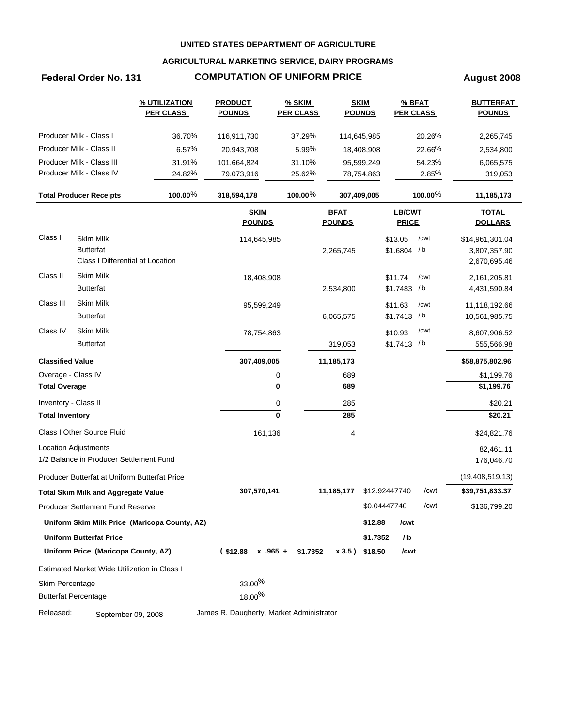## **AGRICULTURAL MARKETING SERVICE, DAIRY PROGRAMS**

# **Federal Order No. 131 COMPUTATION OF UNIFORM PRICE August 2008**

|                         |                                               | % UTILIZATION<br><b>PER CLASS</b>             | <b>PRODUCT</b><br><b>POUNDS</b>          | % SKIM<br><b>PER CLASS</b> |                              | <b>SKIM</b><br><b>POUNDS</b> | % BFAT<br><b>PER CLASS</b> |            | <b>BUTTERFAT</b><br><b>POUNDS</b> |
|-------------------------|-----------------------------------------------|-----------------------------------------------|------------------------------------------|----------------------------|------------------------------|------------------------------|----------------------------|------------|-----------------------------------|
|                         | Producer Milk - Class I                       | 36.70%                                        | 116,911,730                              | 37.29%                     | 114,645,985                  |                              |                            | 20.26%     | 2,265,745                         |
|                         | Producer Milk - Class II                      | 6.57%                                         | 20,943,708                               | 5.99%                      |                              | 18,408,908                   |                            | 22.66%     | 2,534,800                         |
|                         | Producer Milk - Class III                     | 31.91%                                        | 101,664,824                              | 31.10%                     |                              | 95,599,249                   |                            | 54.23%     | 6,065,575                         |
|                         | Producer Milk - Class IV                      | 24.82%                                        | 79,073,916                               | 25.62%                     |                              | 78,754,863                   |                            | 2.85%      | 319,053                           |
|                         | <b>Total Producer Receipts</b>                | 100.00%                                       | 318,594,178                              | 100.00 $%$                 | 307,409,005                  |                              |                            | 100.00 $%$ | 11,185,173                        |
|                         |                                               |                                               | <b>SKIM</b><br><b>POUNDS</b>             |                            | <b>BFAT</b><br><b>POUNDS</b> |                              | LB/CWT<br><b>PRICE</b>     |            | <b>TOTAL</b><br><b>DOLLARS</b>    |
| Class I                 | <b>Skim Milk</b>                              |                                               | 114,645,985                              |                            |                              |                              | \$13.05                    | /cwt       | \$14,961,301.04                   |
|                         | <b>Butterfat</b>                              |                                               |                                          |                            | 2,265,745                    |                              | \$1.6804 /lb               |            | 3,807,357.90                      |
|                         | Class I Differential at Location              |                                               |                                          |                            |                              |                              |                            |            | 2,670,695.46                      |
| Class II                | <b>Skim Milk</b>                              |                                               | 18,408,908                               |                            |                              |                              | \$11.74                    | /cwt       | 2,161,205.81                      |
|                         | <b>Butterfat</b>                              |                                               |                                          |                            | 2,534,800                    |                              | \$1.7483 /lb               |            | 4,431,590.84                      |
| Class III               | <b>Skim Milk</b>                              |                                               | 95,599,249                               |                            |                              |                              | \$11.63                    | /cwt       | 11,118,192.66                     |
|                         | <b>Butterfat</b>                              |                                               |                                          |                            | 6,065,575                    |                              | \$1.7413 /lb               |            | 10,561,985.75                     |
| Class IV                | <b>Skim Milk</b>                              |                                               | 78,754,863                               |                            |                              |                              | \$10.93                    | /cwt       | 8,607,906.52                      |
|                         | <b>Butterfat</b>                              |                                               |                                          |                            | 319,053                      |                              | \$1.7413 /lb               |            | 555,566.98                        |
| <b>Classified Value</b> |                                               |                                               | 307,409,005                              |                            | 11,185,173                   |                              |                            |            | \$58,875,802.96                   |
| Overage - Class IV      |                                               |                                               |                                          | 0                          | 689                          |                              |                            |            | \$1,199.76                        |
| <b>Total Overage</b>    |                                               |                                               |                                          | $\mathbf 0$                | 689                          |                              |                            |            | \$1,199.76                        |
| Inventory - Class II    |                                               |                                               |                                          | 0                          | 285                          |                              |                            |            | \$20.21                           |
| <b>Total Inventory</b>  |                                               |                                               |                                          | $\bf{0}$                   | 285                          |                              |                            |            | \$20.21                           |
|                         | Class I Other Source Fluid                    |                                               | 161,136                                  |                            | 4                            |                              |                            |            | \$24,821.76                       |
|                         | Location Adjustments                          |                                               |                                          |                            |                              |                              |                            |            | 82,461.11                         |
|                         | 1/2 Balance in Producer Settlement Fund       |                                               |                                          |                            |                              |                              |                            |            | 176,046.70                        |
|                         | Producer Butterfat at Uniform Butterfat Price |                                               |                                          |                            |                              |                              |                            |            | (19, 408, 519.13)                 |
|                         | <b>Total Skim Milk and Aggregate Value</b>    |                                               | 307,570,141                              |                            | 11,185,177                   |                              | \$12.92447740              | /cwt       | \$39,751,833.37                   |
|                         | Producer Settlement Fund Reserve              |                                               |                                          |                            |                              |                              | \$0.04447740               | /cwt       | \$136,799.20                      |
|                         |                                               | Uniform Skim Milk Price (Maricopa County, AZ) |                                          |                            |                              | \$12.88                      | /cwt                       |            |                                   |
|                         | <b>Uniform Butterfat Price</b>                |                                               |                                          |                            |                              | \$1.7352                     | /lb                        |            |                                   |
|                         | Uniform Price (Maricopa County, AZ)           |                                               | $$12.88 \times .965 + $1.7352$           |                            | x 3.5) \$18.50               |                              | /cwt                       |            |                                   |
|                         | Estimated Market Wide Utilization in Class I  |                                               |                                          |                            |                              |                              |                            |            |                                   |
| Skim Percentage         |                                               |                                               | $33.00\%$                                |                            |                              |                              |                            |            |                                   |
|                         | <b>Butterfat Percentage</b>                   |                                               | 18.00 <sup>%</sup>                       |                            |                              |                              |                            |            |                                   |
| Released:               | September 09, 2008                            |                                               | James R. Daugherty, Market Administrator |                            |                              |                              |                            |            |                                   |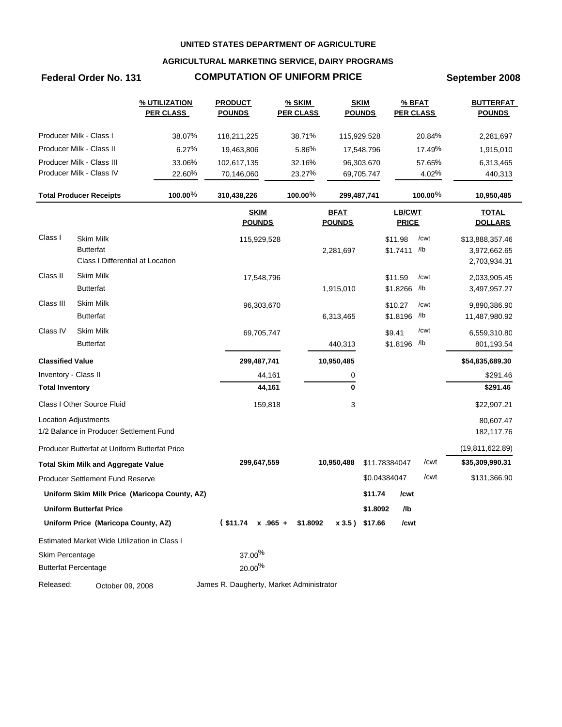## **AGRICULTURAL MARKETING SERVICE, DAIRY PROGRAMS**

# **Federal Order No. 131 COMPUTATION OF UNIFORM PRICE September 2008**

|                         |                                                                          | % UTILIZATION<br><b>PER CLASS</b>             | <b>PRODUCT</b><br><b>POUNDS</b>          | % SKIM<br><b>PER CLASS</b> |                              | <b>SKIM</b><br><b>POUNDS</b> | % BFAT<br><b>PER CLASS</b>    |            | <b>BUTTERFAT</b><br><b>POUNDS</b>               |
|-------------------------|--------------------------------------------------------------------------|-----------------------------------------------|------------------------------------------|----------------------------|------------------------------|------------------------------|-------------------------------|------------|-------------------------------------------------|
|                         | Producer Milk - Class I                                                  | 38.07%                                        | 118,211,225                              | 38.71%                     |                              | 115,929,528                  |                               | 20.84%     | 2,281,697                                       |
|                         | Producer Milk - Class II                                                 | 6.27%                                         | 19,463,806                               | 5.86%                      |                              | 17,548,796                   |                               | 17.49%     | 1,915,010                                       |
|                         | Producer Milk - Class III                                                | 33.06%                                        | 102,617,135                              | 32.16%                     |                              | 96,303,670                   |                               | 57.65%     | 6,313,465                                       |
|                         | Producer Milk - Class IV                                                 | 22.60%                                        | 70,146,060                               | 23.27%                     |                              | 69,705,747                   |                               | 4.02%      | 440,313                                         |
|                         | <b>Total Producer Receipts</b>                                           | 100.00%                                       | 310,438,226                              | $100.00\%$                 |                              | 299,487,741                  |                               | 100.00 $%$ | 10,950,485                                      |
|                         |                                                                          |                                               | <b>SKIM</b><br><b>POUNDS</b>             |                            | <b>BFAT</b><br><b>POUNDS</b> |                              | <b>LB/CWT</b><br><b>PRICE</b> |            | <b>TOTAL</b><br><b>DOLLARS</b>                  |
| Class I                 | <b>Skim Milk</b><br><b>Butterfat</b><br>Class I Differential at Location |                                               | 115,929,528                              |                            | 2,281,697                    |                              | \$11.98<br>\$1.7411 /lb       | /cwt       | \$13,888,357.46<br>3,972,662.65<br>2,703,934.31 |
| Class II                | <b>Skim Milk</b><br><b>Butterfat</b>                                     |                                               | 17,548,796                               |                            | 1,915,010                    |                              | \$11.59<br>\$1.8266 /lb       | /cwt       | 2,033,905.45<br>3,497,957.27                    |
| Class III               | Skim Milk<br><b>Butterfat</b>                                            |                                               | 96,303,670                               |                            | 6,313,465                    |                              | \$10.27<br>\$1.8196 /lb       | /cwt       | 9,890,386.90<br>11,487,980.92                   |
| Class IV                | Skim Milk<br><b>Butterfat</b>                                            |                                               | 69,705,747                               |                            | 440,313                      |                              | \$9.41<br>\$1.8196 /lb        | /cwt       | 6,559,310.80<br>801,193.54                      |
| <b>Classified Value</b> |                                                                          |                                               | 299,487,741                              |                            | 10,950,485                   |                              |                               |            | \$54,835,689.30                                 |
| Inventory - Class II    |                                                                          |                                               | 44,161                                   |                            | 0                            |                              |                               |            | \$291.46                                        |
| <b>Total Inventory</b>  |                                                                          |                                               | 44,161                                   |                            | 0                            |                              |                               |            | \$291.46                                        |
|                         | Class I Other Source Fluid                                               |                                               | 159,818                                  |                            | 3                            |                              |                               |            | \$22,907.21                                     |
|                         | <b>Location Adjustments</b><br>1/2 Balance in Producer Settlement Fund   |                                               |                                          |                            |                              |                              |                               |            | 80,607.47<br>182,117.76                         |
|                         | Producer Butterfat at Uniform Butterfat Price                            |                                               |                                          |                            |                              |                              |                               |            | (19, 811, 622.89)                               |
|                         | <b>Total Skim Milk and Aggregate Value</b>                               |                                               | 299,647,559                              |                            | 10,950,488                   |                              | \$11.78384047                 | /cwt       | \$35,309,990.31                                 |
|                         | Producer Settlement Fund Reserve                                         |                                               |                                          |                            |                              |                              | \$0.04384047                  | /cwt       | \$131,366.90                                    |
|                         |                                                                          | Uniform Skim Milk Price (Maricopa County, AZ) |                                          |                            |                              | \$11.74                      | /cwt                          |            |                                                 |
|                         | <b>Uniform Butterfat Price</b>                                           |                                               |                                          |                            |                              | \$1.8092                     | /lb                           |            |                                                 |
|                         | Uniform Price (Maricopa County, AZ)                                      |                                               | $$11.74 \times .965 + $1.8092$           |                            | x 3.5) \$17.66               |                              | /cwt                          |            |                                                 |
|                         | Estimated Market Wide Utilization in Class I                             |                                               |                                          |                            |                              |                              |                               |            |                                                 |
| Skim Percentage         |                                                                          |                                               | 37.00%                                   |                            |                              |                              |                               |            |                                                 |
|                         | <b>Butterfat Percentage</b>                                              |                                               | $20.00\%$                                |                            |                              |                              |                               |            |                                                 |
| Released:               | October 09, 2008                                                         |                                               | James R. Daugherty, Market Administrator |                            |                              |                              |                               |            |                                                 |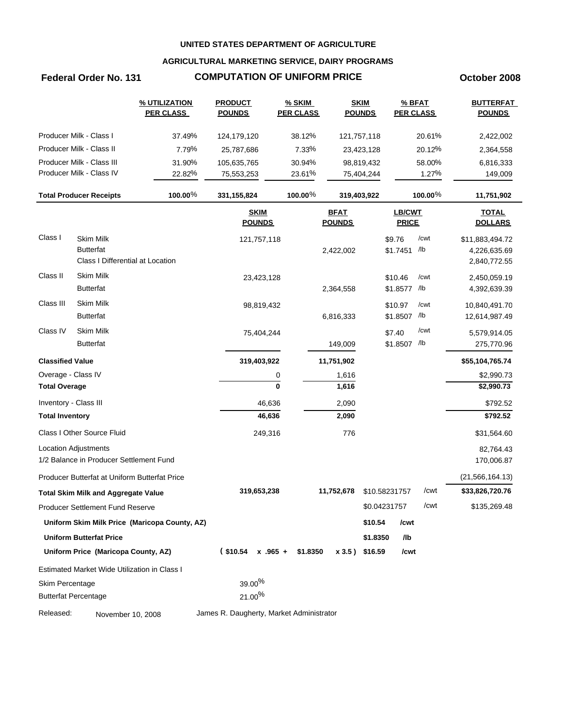## **AGRICULTURAL MARKETING SERVICE, DAIRY PROGRAMS**

## **Federal Order No. 131 COMPUTATION OF UNIFORM PRICE October 2008**

|                             |                                               | % UTILIZATION<br><b>PER CLASS</b>             | <b>PRODUCT</b><br><b>POUNDS</b>          | % SKIM<br><b>PER CLASS</b> | <b>SKIM</b><br><b>POUNDS</b> |          | % BFAT<br><b>PER CLASS</b> |            | <b>BUTTERFAT</b><br><b>POUNDS</b> |
|-----------------------------|-----------------------------------------------|-----------------------------------------------|------------------------------------------|----------------------------|------------------------------|----------|----------------------------|------------|-----------------------------------|
|                             | Producer Milk - Class I                       | 37.49%                                        | 124,179,120                              | 38.12%                     | 121,757,118                  |          |                            | 20.61%     | 2,422,002                         |
|                             | Producer Milk - Class II                      | 7.79%                                         | 25,787,686                               | 7.33%                      | 23,423,128                   |          |                            | 20.12%     | 2,364,558                         |
|                             | Producer Milk - Class III                     | 31.90%                                        | 105,635,765                              | 30.94%                     | 98,819,432                   |          |                            | 58.00%     | 6,816,333                         |
|                             | Producer Milk - Class IV                      | 22.82%                                        | 75,553,253                               | 23.61%                     | 75,404,244                   |          |                            | 1.27%      | 149,009                           |
|                             | <b>Total Producer Receipts</b>                | 100.00%                                       | 331, 155, 824                            | 100.00 $%$                 | 319,403,922                  |          |                            | 100.00 $%$ | 11,751,902                        |
|                             |                                               |                                               | <b>SKIM</b><br><b>POUNDS</b>             |                            | <b>BFAT</b><br><b>POUNDS</b> |          | LB/CWT<br><b>PRICE</b>     |            | <b>TOTAL</b><br><b>DOLLARS</b>    |
| Class I                     | <b>Skim Milk</b>                              |                                               | 121,757,118                              |                            |                              |          | \$9.76                     | /cwt       | \$11,883,494.72                   |
|                             | <b>Butterfat</b>                              |                                               |                                          |                            | 2,422,002                    |          | \$1.7451 /lb               |            | 4,226,635.69                      |
|                             | Class I Differential at Location              |                                               |                                          |                            |                              |          |                            |            | 2,840,772.55                      |
| Class II                    | Skim Milk                                     |                                               | 23,423,128                               |                            |                              |          | \$10.46                    | /cwt       | 2,450,059.19                      |
|                             | <b>Butterfat</b>                              |                                               |                                          |                            | 2,364,558                    |          | \$1.8577 /lb               |            | 4,392,639.39                      |
| Class III                   | <b>Skim Milk</b>                              |                                               | 98,819,432                               |                            |                              |          | \$10.97                    | /cwt       | 10,840,491.70                     |
|                             | <b>Butterfat</b>                              |                                               |                                          |                            | 6,816,333                    |          | \$1.8507 /lb               |            | 12,614,987.49                     |
| Class IV                    | <b>Skim Milk</b>                              |                                               | 75,404,244                               |                            |                              |          | \$7.40                     | /cwt       | 5,579,914.05                      |
|                             | <b>Butterfat</b>                              |                                               |                                          |                            | 149,009                      |          | \$1.8507 /lb               |            | 275,770.96                        |
| <b>Classified Value</b>     |                                               |                                               | 319,403,922                              |                            | 11,751,902                   |          |                            |            | \$55,104,765.74                   |
| Overage - Class IV          |                                               |                                               |                                          | 0                          | 1,616                        |          |                            |            | \$2,990.73                        |
| <b>Total Overage</b>        |                                               |                                               |                                          | $\mathbf{0}$               | 1,616                        |          |                            |            | \$2,990.73                        |
| Inventory - Class III       |                                               |                                               | 46,636                                   |                            | 2,090                        |          |                            |            | \$792.52                          |
| <b>Total Inventory</b>      |                                               |                                               | 46,636                                   |                            | 2,090                        |          |                            |            | \$792.52                          |
|                             | Class I Other Source Fluid                    |                                               | 249,316                                  |                            | 776                          |          |                            |            | \$31,564.60                       |
|                             | Location Adjustments                          |                                               |                                          |                            |                              |          |                            |            | 82,764.43                         |
|                             | 1/2 Balance in Producer Settlement Fund       |                                               |                                          |                            |                              |          |                            |            | 170,006.87                        |
|                             | Producer Butterfat at Uniform Butterfat Price |                                               |                                          |                            |                              |          |                            |            | (21, 566, 164.13)                 |
|                             | <b>Total Skim Milk and Aggregate Value</b>    |                                               | 319,653,238                              |                            | 11,752,678                   |          | \$10.58231757              | /cwt       | \$33,826,720.76                   |
|                             | Producer Settlement Fund Reserve              |                                               |                                          |                            |                              |          | \$0.04231757               | /cwt       | \$135,269.48                      |
|                             |                                               | Uniform Skim Milk Price (Maricopa County, AZ) |                                          |                            |                              | \$10.54  | /cwt                       |            |                                   |
|                             | <b>Uniform Butterfat Price</b>                |                                               |                                          |                            |                              | \$1.8350 | /lb                        |            |                                   |
|                             | Uniform Price (Maricopa County, AZ)           |                                               | $$10.54 \times .965 + $1.8350$           |                            | $x 3.5$ ) \$16.59            |          | /cwt                       |            |                                   |
|                             | Estimated Market Wide Utilization in Class I  |                                               |                                          |                            |                              |          |                            |            |                                   |
| Skim Percentage             |                                               |                                               | $39.00\%$                                |                            |                              |          |                            |            |                                   |
| <b>Butterfat Percentage</b> |                                               |                                               | $21.00\%$                                |                            |                              |          |                            |            |                                   |
| Dologood:                   |                                               | 10,000                                        | James B. Dougborty, Market Administrator |                            |                              |          |                            |            |                                   |

Released: November 10, 2008 James R. Daugherty, Market Administrator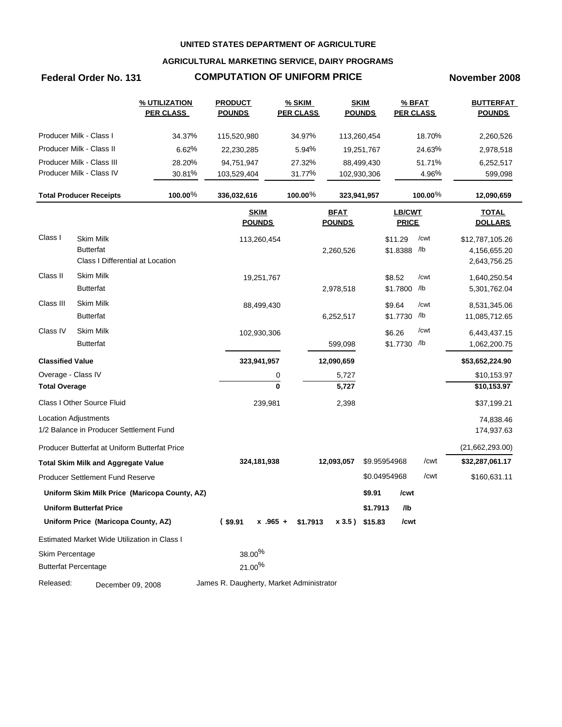## **AGRICULTURAL MARKETING SERVICE, DAIRY PROGRAMS**

# **Federal Order No. 131 COMPUTATION OF UNIFORM PRICE November 2008**

|                         |                                                                          | % UTILIZATION<br><b>PER CLASS</b>             | <b>PRODUCT</b><br><b>POUNDS</b>          | % SKIM<br><b>PER CLASS</b> |                              | <b>SKIM</b><br><b>POUNDS</b> | % BFAT<br><b>PER CLASS</b>    |            | <b>BUTTERFAT</b><br><b>POUNDS</b>               |
|-------------------------|--------------------------------------------------------------------------|-----------------------------------------------|------------------------------------------|----------------------------|------------------------------|------------------------------|-------------------------------|------------|-------------------------------------------------|
|                         | Producer Milk - Class I                                                  | 34.37%                                        | 115,520,980                              | 34.97%                     |                              | 113,260,454                  |                               | 18.70%     | 2,260,526                                       |
|                         | Producer Milk - Class II                                                 | 6.62%                                         | 22,230,285                               | 5.94%                      |                              | 19,251,767                   |                               | 24.63%     | 2,978,518                                       |
|                         | Producer Milk - Class III                                                | 28.20%                                        | 94,751,947                               | 27.32%                     |                              | 88,499,430                   |                               | 51.71%     | 6,252,517                                       |
|                         | Producer Milk - Class IV                                                 | 30.81%                                        | 103,529,404                              | 31.77%                     |                              | 102,930,306                  |                               | 4.96%      | 599,098                                         |
|                         | <b>Total Producer Receipts</b>                                           | 100.00 $%$                                    | 336,032,616                              | $100.00\%$                 |                              | 323,941,957                  |                               | 100.00 $%$ | 12,090,659                                      |
|                         |                                                                          |                                               | <b>SKIM</b><br><b>POUNDS</b>             |                            | <b>BFAT</b><br><b>POUNDS</b> |                              | <b>LB/CWT</b><br><b>PRICE</b> |            | <b>TOTAL</b><br><b>DOLLARS</b>                  |
| Class I                 | <b>Skim Milk</b><br><b>Butterfat</b><br>Class I Differential at Location |                                               | 113,260,454                              |                            | 2,260,526                    |                              | \$11.29<br>\$1.8388 /lb       | /cwt       | \$12,787,105.26<br>4,156,655.20<br>2,643,756.25 |
| Class II                | Skim Milk<br><b>Butterfat</b>                                            |                                               | 19,251,767                               |                            | 2,978,518                    |                              | \$8.52<br>\$1.7800 /b         | /cwt       | 1,640,250.54<br>5,301,762.04                    |
| Class III               | Skim Milk<br><b>Butterfat</b>                                            |                                               | 88,499,430                               |                            | 6,252,517                    |                              | \$9.64<br>\$1.7730 /lb        | /cwt       | 8,531,345.06<br>11,085,712.65                   |
| Class IV                | Skim Milk<br><b>Butterfat</b>                                            |                                               | 102,930,306                              |                            | 599,098                      |                              | \$6.26<br>\$1.7730 /lb        | /cwt       | 6,443,437.15<br>1,062,200.75                    |
| <b>Classified Value</b> |                                                                          |                                               | 323,941,957                              |                            | 12,090,659                   |                              |                               |            | \$53,652,224.90                                 |
| Overage - Class IV      |                                                                          |                                               |                                          | 0                          | 5,727                        |                              |                               |            | \$10,153.97                                     |
| <b>Total Overage</b>    |                                                                          |                                               |                                          | $\bf{0}$                   | 5,727                        |                              |                               |            | \$10,153.97                                     |
|                         | Class I Other Source Fluid                                               |                                               | 239,981                                  |                            | 2,398                        |                              |                               |            | \$37,199.21                                     |
|                         | Location Adjustments                                                     |                                               |                                          |                            |                              |                              |                               |            | 74,838.46                                       |
|                         | 1/2 Balance in Producer Settlement Fund                                  |                                               |                                          |                            |                              |                              |                               |            | 174,937.63                                      |
|                         | Producer Butterfat at Uniform Butterfat Price                            |                                               |                                          |                            |                              |                              |                               |            | (21,662,293.00)                                 |
|                         | <b>Total Skim Milk and Aggregate Value</b>                               |                                               | 324,181,938                              |                            | 12,093,057                   | \$9.95954968                 |                               | /cwt       | \$32,287,061.17                                 |
|                         | <b>Producer Settlement Fund Reserve</b>                                  |                                               |                                          |                            |                              |                              | \$0.04954968                  | /cwt       | \$160,631.11                                    |
|                         |                                                                          | Uniform Skim Milk Price (Maricopa County, AZ) |                                          |                            |                              | \$9.91                       | /cwt                          |            |                                                 |
|                         | <b>Uniform Butterfat Price</b>                                           |                                               |                                          |                            |                              | \$1.7913                     | /lb                           |            |                                                 |
|                         | Uniform Price (Maricopa County, AZ)                                      |                                               | $($ \$9.91<br>$x - 965 +$                | \$1.7913                   |                              | x 3.5) \$15.83               | /cwt                          |            |                                                 |
|                         | Estimated Market Wide Utilization in Class I                             |                                               |                                          |                            |                              |                              |                               |            |                                                 |
| Skim Percentage         |                                                                          |                                               | 38.00%                                   |                            |                              |                              |                               |            |                                                 |
|                         | <b>Butterfat Percentage</b>                                              |                                               | $21.00\%$                                |                            |                              |                              |                               |            |                                                 |
| Released:               | December 09, 2008                                                        |                                               | James R. Daugherty, Market Administrator |                            |                              |                              |                               |            |                                                 |